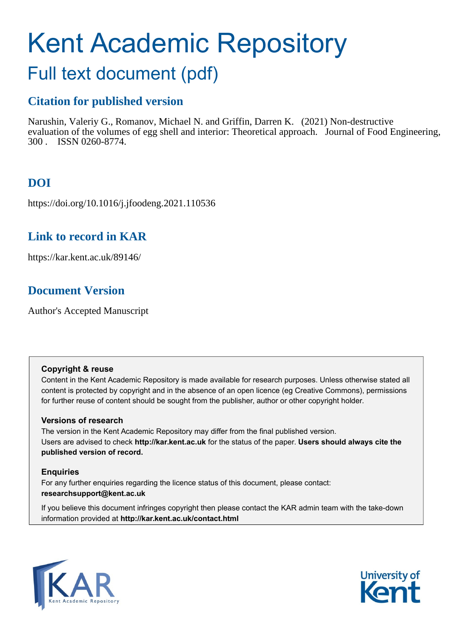# Kent Academic Repository

## Full text document (pdf)

## **Citation for published version**

Narushin, Valeriy G., Romanov, Michael N. and Griffin, Darren K. (2021) Non-destructive evaluation of the volumes of egg shell and interior: Theoretical approach. Journal of Food Engineering, 300 . ISSN 0260-8774.

## **DOI**

https://doi.org/10.1016/j.jfoodeng.2021.110536

## **Link to record in KAR**

https://kar.kent.ac.uk/89146/

## **Document Version**

Author's Accepted Manuscript

#### **Copyright & reuse**

Content in the Kent Academic Repository is made available for research purposes. Unless otherwise stated all content is protected by copyright and in the absence of an open licence (eg Creative Commons), permissions for further reuse of content should be sought from the publisher, author or other copyright holder.

#### **Versions of research**

The version in the Kent Academic Repository may differ from the final published version. Users are advised to check **http://kar.kent.ac.uk** for the status of the paper. **Users should always cite the published version of record.**

#### **Enquiries**

For any further enquiries regarding the licence status of this document, please contact: **researchsupport@kent.ac.uk**

If you believe this document infringes copyright then please contact the KAR admin team with the take-down information provided at **http://kar.kent.ac.uk/contact.html**



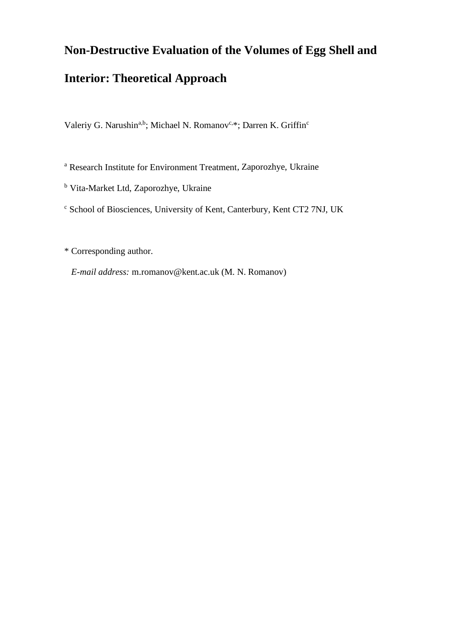## **Non-Destructive Evaluation of the Volumes of Egg Shell and**

## **Interior: Theoretical Approach**

Valeriy G. Narushin<sup>a,b</sup>; Michael N. Romanov<sup>c,\*</sup>; Darren K. Griffin<sup>c</sup>

<sup>a</sup> Research Institute for Environment Treatment, Zaporozhye, Ukraine

<sup>b</sup> Vita-Market Ltd, Zaporozhye, Ukraine

<sup>c</sup> School of Biosciences, University of Kent, Canterbury, Kent CT2 7NJ, UK

\* Corresponding author.

*E-mail address:* m.romanov@kent.ac.uk (M. N. Romanov)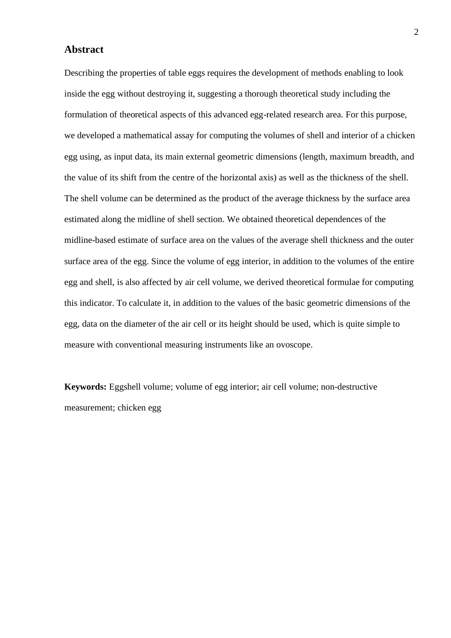#### **Abstract**

Describing the properties of table eggs requires the development of methods enabling to look inside the egg without destroying it, suggesting a thorough theoretical study including the formulation of theoretical aspects of this advanced egg-related research area. For this purpose, we developed a mathematical assay for computing the volumes of shell and interior of a chicken egg using, as input data, its main external geometric dimensions (length, maximum breadth, and the value of its shift from the centre of the horizontal axis) as well as the thickness of the shell. The shell volume can be determined as the product of the average thickness by the surface area estimated along the midline of shell section. We obtained theoretical dependences of the midline-based estimate of surface area on the values of the average shell thickness and the outer surface area of the egg. Since the volume of egg interior, in addition to the volumes of the entire egg and shell, is also affected by air cell volume, we derived theoretical formulae for computing this indicator. To calculate it, in addition to the values of the basic geometric dimensions of the egg, data on the diameter of the air cell or its height should be used, which is quite simple to measure with conventional measuring instruments like an ovoscope.

**Keywords:** Eggshell volume; volume of egg interior; air cell volume; non-destructive measurement; chicken egg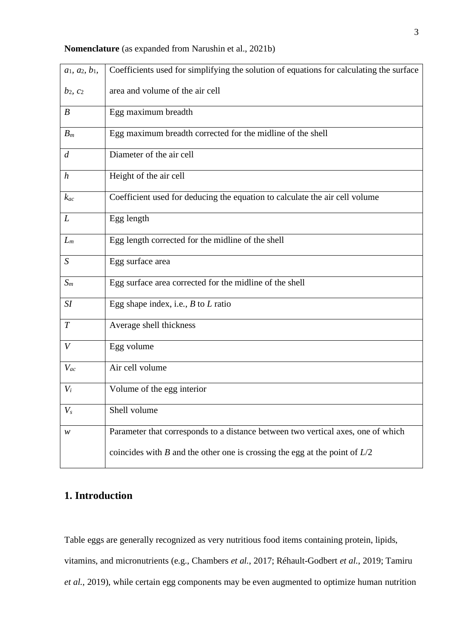|  | <b>Nomenclature</b> (as expanded from Narushin et al., 2021b) |  |  |
|--|---------------------------------------------------------------|--|--|
|--|---------------------------------------------------------------|--|--|

| $a_1, a_2, b_1,$ | Coefficients used for simplifying the solution of equations for calculating the surface |
|------------------|-----------------------------------------------------------------------------------------|
| $b_2$ , $c_2$    | area and volume of the air cell                                                         |
| $\boldsymbol{B}$ | Egg maximum breadth                                                                     |
| $B_m$            | Egg maximum breadth corrected for the midline of the shell                              |
| $\overline{d}$   | Diameter of the air cell                                                                |
| $\boldsymbol{h}$ | Height of the air cell                                                                  |
| $k_{ac}$         | Coefficient used for deducing the equation to calculate the air cell volume             |
| L                | Egg length                                                                              |
| $L_m$            | Egg length corrected for the midline of the shell                                       |
| S                | Egg surface area                                                                        |
| $S_m$            | Egg surface area corrected for the midline of the shell                                 |
| SI               | Egg shape index, i.e., $B$ to $L$ ratio                                                 |
| $\boldsymbol{T}$ | Average shell thickness                                                                 |
| V                | Egg volume                                                                              |
| $V_{ac}$         | Air cell volume                                                                         |
| $V_i$            | Volume of the egg interior                                                              |
| $V_{s}$          | Shell volume                                                                            |
| w                | Parameter that corresponds to a distance between two vertical axes, one of which        |
|                  | coincides with $B$ and the other one is crossing the egg at the point of $L/2$          |

### **1. Introduction**

Table eggs are generally recognized as very nutritious food items containing protein, lipids, vitamins, and micronutrients (e.g., Chambers *et al.*, 2017; Réhault-Godbert *et al.*, 2019; Tamiru *et al.*, 2019), while certain egg components may be even augmented to optimize human nutrition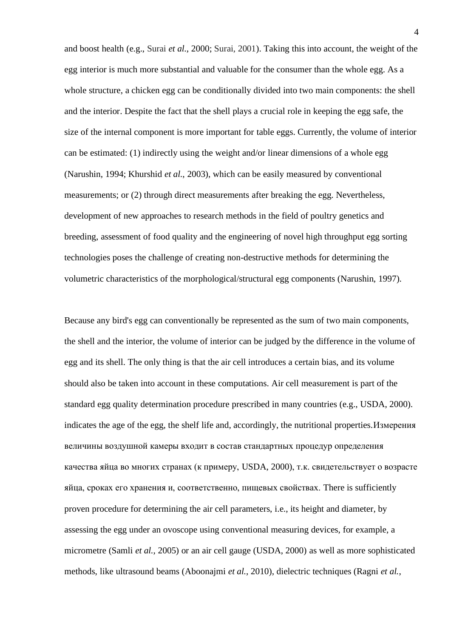and boost health (e.g., Surai *et al.*, 2000; Surai, 2001). Taking this into account, the weight of the egg interior is much more substantial and valuable for the consumer than the whole egg. As a whole structure, a chicken egg can be conditionally divided into two main components: the shell and the interior. Despite the fact that the shell plays a crucial role in keeping the egg safe, the size of the internal component is more important for table eggs. Currently, the volume of interior can be estimated: (1) indirectly using the weight and/or linear dimensions of a whole egg (Narushin, 1994; Khurshid *et al.*, 2003), which can be easily measured by conventional measurements; or (2) through direct measurements after breaking the egg. Nevertheless, development of new approaches to research methods in the field of poultry genetics and breeding, assessment of food quality and the engineering of novel high throughput egg sorting technologies poses the challenge of creating non-destructive methods for determining the volumetric characteristics of the morphological/structural egg components (Narushin, 1997).

Because any bird's egg can conventionally be represented as the sum of two main components, the shell and the interior, the volume of interior can be judged by the difference in the volume of egg and its shell. The only thing is that the air cell introduces a certain bias, and its volume should also be taken into account in these computations. Air cell measurement is part of the standard egg quality determination procedure prescribed in many countries (e.g., USDA, 2000). indicates the age of the egg, the shelf life and, accordingly, the nutritional properties.Измерения величины воздушной камеры входит в состав стандартных процедур определения качества яйца во многих странах (к примеру, USDA, 2000), т.к. свидетельствует о возрасте яйца, сроках его хранения и, соответственно, пищевых свойствах. There is sufficiently proven procedure for determining the air cell parameters, i.e., its height and diameter, by assessing the egg under an ovoscope using conventional measuring devices, for example, a micrometre (Samli *et al.*, 2005) or an air cell gauge (USDA, 2000) as well as more sophisticated methods, like ultrasound beams (Aboonajmi *et al.*, 2010), dielectric techniques (Ragni *et al.*,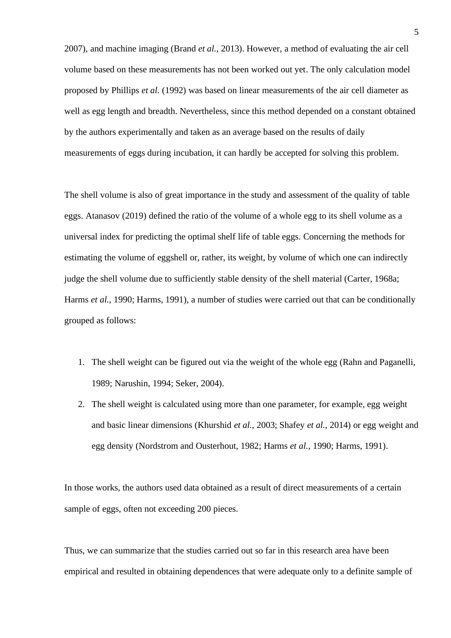2007), and machine imaging (Brand *et al.*, 2013). However, a method of evaluating the air cell volume based on these measurements has not been worked out yet. The only calculation model proposed by Phillips *et al.* (1992) was based on linear measurements of the air cell diameter as well as egg length and breadth. Nevertheless, since this method depended on a constant obtained by the authors experimentally and taken as an average based on the results of daily measurements of eggs during incubation, it can hardly be accepted for solving this problem.

The shell volume is also of great importance in the study and assessment of the quality of table eggs. Atanasov (2019) defined the ratio of the volume of a whole egg to its shell volume as a universal index for predicting the optimal shelf life of table eggs. Concerning the methods for estimating the volume of eggshell or, rather, its weight, by volume of which one can indirectly judge the shell volume due to sufficiently stable density of the shell material (Carter, 1968a; Harms *et al.*, 1990; Harms, 1991), a number of studies were carried out that can be conditionally grouped as follows:

- 1. The shell weight can be figured out via the weight of the whole egg (Rahn and Paganelli, 1989; Narushin, 1994; Seker, 2004).
- 2. The shell weight is calculated using more than one parameter, for example, egg weight and basic linear dimensions (Khurshid *et al.*, 2003; Shafey *et al.*, 2014) or egg weight and egg density (Nordstrom and Ousterhout, 1982; Harms *et al.*, 1990; Harms, 1991).

In those works, the authors used data obtained as a result of direct measurements of a certain sample of eggs, often not exceeding 200 pieces.

Thus, we can summarize that the studies carried out so far in this research area have been empirical and resulted in obtaining dependences that were adequate only to a definite sample of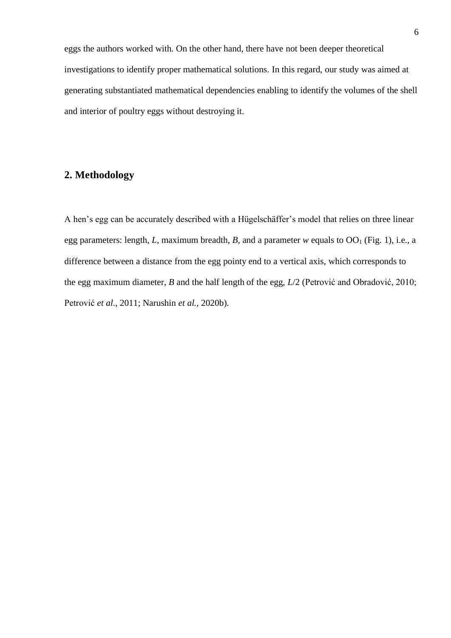eggs the authors worked with. On the other hand, there have not been deeper theoretical investigations to identify proper mathematical solutions. In this regard, our study was aimed at generating substantiated mathematical dependencies enabling to identify the volumes of the shell and interior of poultry eggs without destroying it.

#### **2. Methodology**

A hen's egg can be accurately described with a Hügelschäffer's model that relies on three linear egg parameters: length, *L*, maximum breadth, *B*, and a parameter *w* equals to  $OO<sub>1</sub>$  (Fig. 1), i.e., a difference between a distance from the egg pointy end to a vertical axis, which corresponds to the egg maximum diameter, *B* and the half length of the egg, *L*/2 (Petrović and Obradović, 2010; Petrović *et al*., 2011; Narushin *et al.,* 2020b).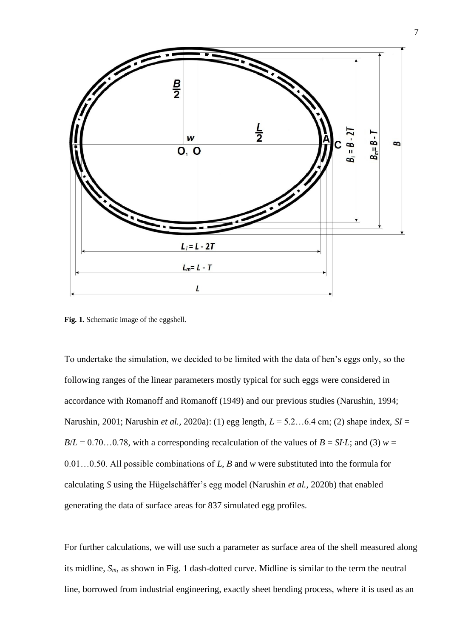

Fig. 1. Schematic image of the eggshell.

To undertake the simulation, we decided to be limited with the data of hen's eggs only, so the following ranges of the linear parameters mostly typical for such eggs were considered in accordance with Romanoff and Romanoff (1949) and our previous studies (Narushin, 1994; Narushin, 2001; Narushin *et al.,* 2020a): (1) egg length, *L* = 5.2…6.4 cm; (2) shape index, *SI* =  $B/L = 0.70...0.78$ , with a corresponding recalculation of the values of  $B = SI<sup>t</sup>L$ ; and (3)  $w =$ 0.01…0.50. All possible combinations of *L*, *B* and *w* were substituted into the formula for calculating *S* using the Hügelschäffer's egg model (Narushin *et al.,* 2020b) that enabled generating the data of surface areas for 837 simulated egg profiles.

For further calculations, we will use such a parameter as surface area of the shell measured along its midline, *Sm*, as shown in Fig. 1 dash-dotted curve. Midline is similar to the term the neutral line, borrowed from industrial engineering, exactly sheet bending process, where it is used as an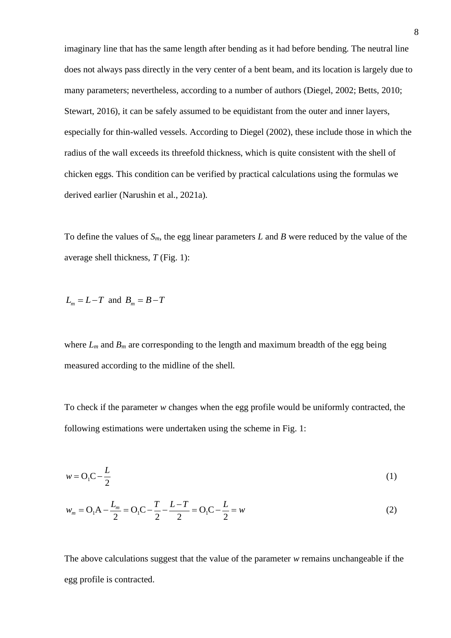imaginary line that has the same length after bending as it had before bending. The neutral line does not always pass directly in the very center of a bent beam, and its location is largely due to many parameters; nevertheless, according to a number of authors (Diegel, 2002; Betts, 2010; Stewart, 2016), it can be safely assumed to be equidistant from the outer and inner layers, especially for thin-walled vessels. According to Diegel (2002), these include those in which the radius of the wall exceeds its threefold thickness, which is quite consistent with the shell of chicken eggs. This condition can be verified by practical calculations using the formulas we derived earlier (Narushin et al., 2021a).

To define the values of  $S_m$ , the egg linear parameters L and B were reduced by the value of the average shell thickness, *T* (Fig. 1):

$$
L_m = L - T \text{ and } B_m = B - T
$$

where  $L_m$  and  $B_m$  are corresponding to the length and maximum breadth of the egg being measured according to the midline of the shell.

To check if the parameter *w* changes when the egg profile would be uniformly contracted, the following estimations were undertaken using the scheme in Fig. 1:

$$
w = O_1 C - \frac{L}{2}
$$
 (1)

$$
w_m = O_1 A - \frac{L_m}{2} = O_1 C - \frac{T}{2} - \frac{L - T}{2} = O_1 C - \frac{L}{2} = w
$$
\n(2)

The above calculations suggest that the value of the parameter *w* remains unchangeable if the egg profile is contracted.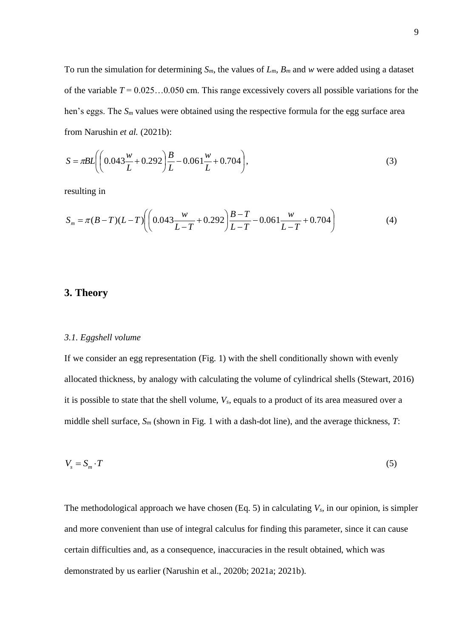To run the simulation for determining *Sm*, the values of *Lm*, *B<sup>m</sup>* and *w* were added using a dataset of the variable  $T = 0.025...0.050$  cm. This range excessively covers all possible variations for the hen's eggs. The *S<sup>m</sup>* values were obtained using the respective formula for the egg surface area from Narushin *et al.* (2021b):

$$
S = \pi BL \left( \left( 0.043 \frac{w}{L} + 0.292 \right) \frac{B}{L} - 0.061 \frac{w}{L} + 0.704 \right),\tag{3}
$$

resulting in

$$
S_m = \pi (B - T)(L - T) \left( \left( 0.043 \frac{w}{L - T} + 0.292 \right) \frac{B - T}{L - T} - 0.061 \frac{w}{L - T} + 0.704 \right) \tag{4}
$$

#### **3. Theory**

#### *3.1. Eggshell volume*

If we consider an egg representation (Fig. 1) with the shell conditionally shown with evenly allocated thickness, by analogy with calculating the volume of cylindrical shells (Stewart, 2016) it is possible to state that the shell volume, *Vs*, equals to a product of its area measured over a middle shell surface, *S<sup>m</sup>* (shown in Fig. 1 with a dash-dot line), and the average thickness, *T*:

$$
V_s = S_m \cdot T \tag{5}
$$

The methodological approach we have chosen (Eq. 5) in calculating *Vs*, in our opinion, is simpler and more convenient than use of integral calculus for finding this parameter, since it can cause certain difficulties and, as a consequence, inaccuracies in the result obtained, which was demonstrated by us earlier (Narushin et al., 2020b; 2021a; 2021b).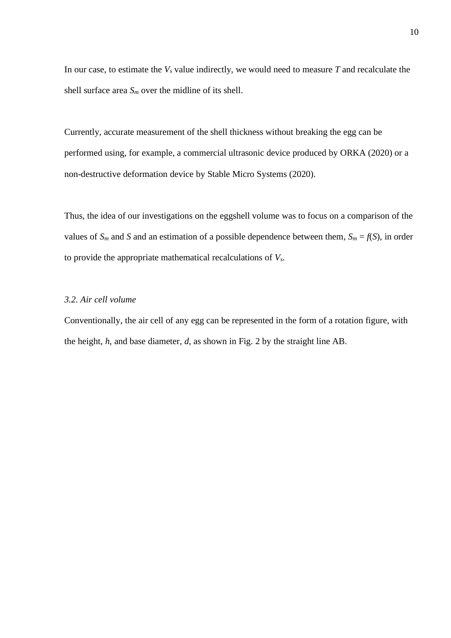In our case, to estimate the  $V_s$  value indirectly, we would need to measure  $T$  and recalculate the shell surface area *S<sup>m</sup>* over the midline of its shell.

Currently, accurate measurement of the shell thickness without breaking the egg can be performed using, for example, a commercial ultrasonic device produced by ORKA (2020) or a non-destructive deformation device by Stable Micro Systems (2020).

Thus, the idea of our investigations on the eggshell volume was to focus on a comparison of the values of  $S_m$  and *S* and an estimation of a possible dependence between them,  $S_m = f(S)$ , in order to provide the appropriate mathematical recalculations of *Vs*.

#### *3.2. Air cell volume*

Conventionally, the air cell of any egg can be represented in the form of a rotation figure, with the height, *h*, and base diameter, *d*, as shown in Fig. 2 by the straight line AB.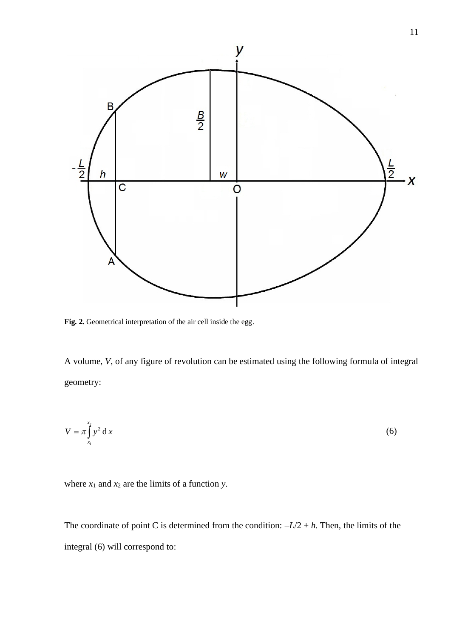

**Fig. 2.** Geometrical interpretation of the air cell inside the egg.

A volume, *V*, of any figure of revolution can be estimated using the following formula of integral geometry:

$$
V = \pi \int_{x_1}^{x_2} y^2 dx
$$
 (6)

where  $x_1$  and  $x_2$  are the limits of a function *y*.

The coordinate of point C is determined from the condition:  $-L/2 + h$ . Then, the limits of the integral (6) will correspond to: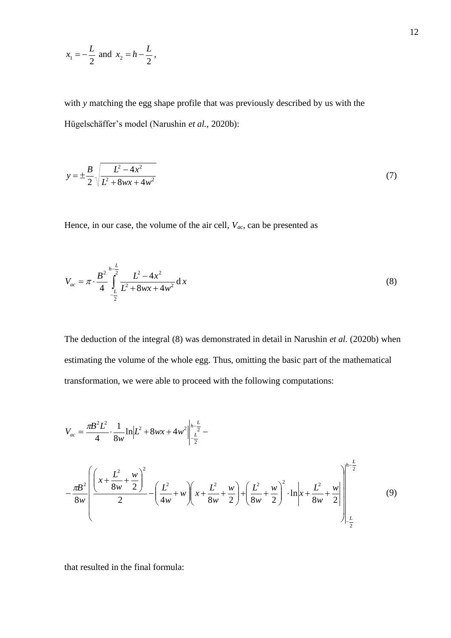$$
x_1 = -\frac{L}{2}
$$
 and  $x_2 = h - \frac{L}{2}$ ,

with *y* matching the egg shape profile that was previously described by us with the Hügelschäffer's model (Narushin *et al.,* 2020b):

$$
y = \pm \frac{B}{2} \sqrt{\frac{L^2 - 4x^2}{L^2 + 8wx + 4w^2}}
$$
 (7)

Hence, in our case, the volume of the air cell, *Vac*, can be presented as

$$
V_{ac} = \pi \cdot \frac{B^2}{4} \int_{-\frac{L}{2}}^{\frac{L}{2}} \frac{L^2 - 4x^2}{L^2 + 8wx + 4w^2} dx
$$
 (8)

The deduction of the integral (8) was demonstrated in detail in Narushin *et al.* (2020b) when estimating the volume of the whole egg. Thus, omitting the basic part of the mathematical transformation, we were able to proceed with the following computations:

$$
V_{ac} = \frac{\pi B^2 L^2}{4} \cdot \frac{1}{8w} \ln \left| L^2 + 8wx + 4w^2 \right|_{-\frac{L}{2}}^{\frac{L}{2}} - \frac{L^2}{2}
$$
  

$$
-\frac{\pi B^2}{8w} \left[ \frac{\left( x + \frac{L^2}{8w} + \frac{w}{2} \right)^2}{2} - \left( \frac{L^2}{4w} + w \right) \left( x + \frac{L^2}{8w} + \frac{w}{2} \right) + \left( \frac{L^2}{8w} + \frac{w}{2} \right)^2 \cdot \ln \left| x + \frac{L^2}{8w} + \frac{w}{2} \right| \right]_{-\frac{L}{2}}^{\frac{L}{2}} \tag{9}
$$

that resulted in the final formula: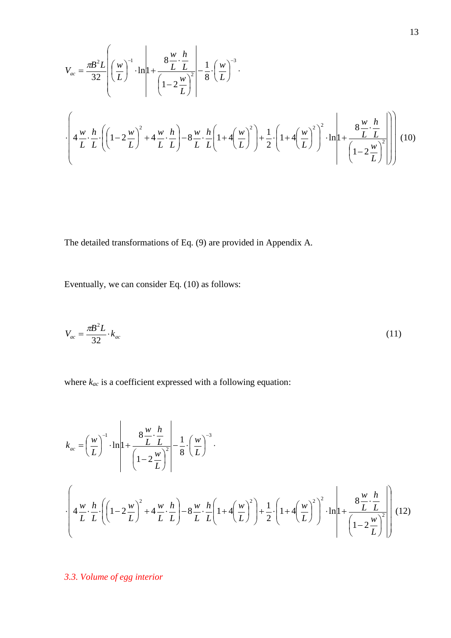$$
V_{ac} = \frac{\pi B^2 L}{32} \left[ \left( \frac{w}{L} \right)^{-1} \cdot \ln \left| 1 + \frac{8 \frac{w}{L} \cdot \frac{h}{L}}{\left( 1 - 2 \frac{w}{L} \right)^2} \right| - \frac{1}{8} \cdot \left( \frac{w}{L} \right)^{-3} \cdot \right]
$$
  

$$
\cdot \left[ 4 \frac{w}{L} \cdot \frac{h}{L} \cdot \left( \left( 1 - 2 \frac{w}{L} \right)^2 + 4 \frac{w}{L} \cdot \frac{h}{L} \right) - 8 \frac{w}{L} \cdot \frac{h}{L} \left( 1 + 4 \left( \frac{w}{L} \right)^2 \right) + \frac{1}{2} \cdot \left( 1 + 4 \left( \frac{w}{L} \right)^2 \right)^2 \cdot \ln \left| 1 + \frac{8 \frac{w}{L} \cdot \frac{h}{L}}{\left( 1 - 2 \frac{w}{L} \right)^2} \right| \right] (10)
$$

The detailed transformations of Eq. (9) are provided in Appendix A.

Eventually, we can consider Eq. (10) as follows:

$$
V_{ac} = \frac{\pi B^2 L}{32} \cdot k_{ac} \tag{11}
$$

where *kac* is a coefficient expressed with a following equation:

$$
k_{ac} = \left(\frac{w}{L}\right)^{-1} \cdot \ln\left|1 + \frac{8\frac{w}{L}\cdot\frac{h}{L}}{\left(1 - 2\frac{w}{L}\right)^{2}}\right| = \frac{1}{8} \cdot \left(\frac{w}{L}\right)^{-3}.
$$
  

$$
\cdot \left(4\frac{w}{L}\cdot\frac{h}{L}\cdot\left(\left(1 - 2\frac{w}{L}\right)^{2} + 4\frac{w}{L}\cdot\frac{h}{L}\right) - 8\frac{w}{L}\cdot\frac{h}{L}\left(1 + 4\left(\frac{w}{L}\right)^{2}\right) + \frac{1}{2}\cdot\left(1 + 4\left(\frac{w}{L}\right)^{2}\right)^{2} \cdot \ln\left|1 + \frac{8\frac{w}{L}\cdot\frac{h}{L}}{\left(1 - 2\frac{w}{L}\right)^{2}}\right|\right)
$$
(12)

*3.3. Volume of egg interior*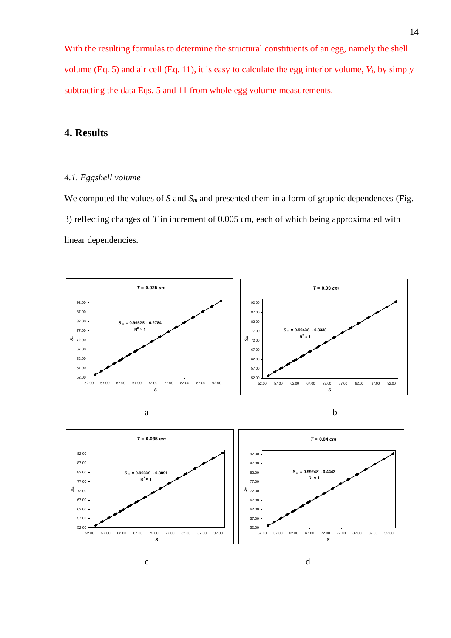With the resulting formulas to determine the structural constituents of an egg, namely the shell volume (Eq. 5) and air cell (Eq. 11), it is easy to calculate the egg interior volume, *Vi*, by simply subtracting the data Eqs. 5 and 11 from whole egg volume measurements.

#### **4. Results**

#### *4.1. Eggshell volume*

We computed the values of *S* and  $S_m$  and presented them in a form of graphic dependences (Fig. 3) reflecting changes of *T* in increment of 0.005 cm, each of which being approximated with linear dependencies.



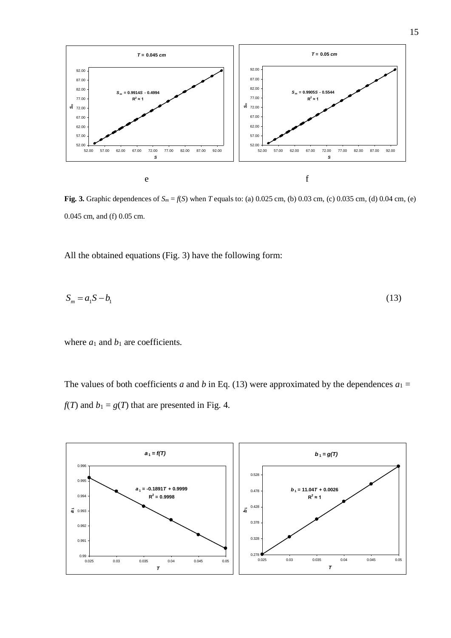

**Fig. 3.** Graphic dependences of  $S_m = f(S)$  when *T* equals to: (a) 0.025 cm, (b) 0.03 cm, (c) 0.035 cm, (d) 0.04 cm, (e) 0.045 cm, and (f) 0.05 cm.

All the obtained equations (Fig. 3) have the following form:

$$
S_m = a_1 S - b_1 \tag{13}
$$

where  $a_1$  and  $b_1$  are coefficients.

The values of both coefficients *a* and *b* in Eq. (13) were approximated by the dependences  $a_1 =$  $f(T)$  and  $b_1 = g(T)$  that are presented in Fig. 4.

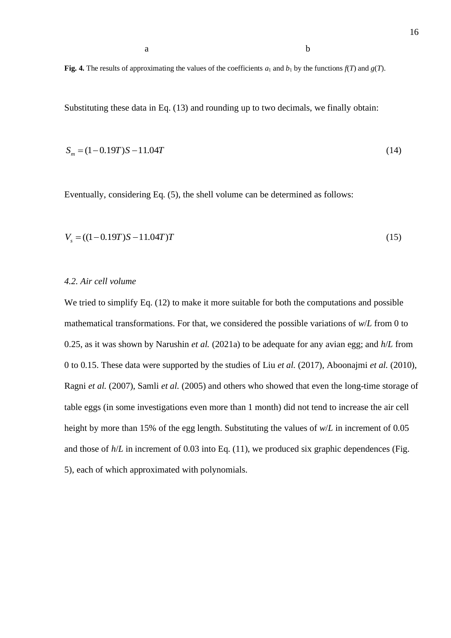**Fig. 4.** The results of approximating the values of the coefficients  $a_1$  and  $b_1$  by the functions  $f(T)$  and  $g(T)$ .

Substituting these data in Eq. (13) and rounding up to two decimals, we finally obtain:

$$
S_m = (1 - 0.19T)S - 11.04T
$$
\n(14)

Eventually, considering Eq. (5), the shell volume can be determined as follows:

$$
V_s = ((1 - 0.19T)S - 11.04T)T
$$
\n(15)

#### *4.2. Air cell volume*

We tried to simplify Eq. (12) to make it more suitable for both the computations and possible mathematical transformations. For that, we considered the possible variations of *w*/*L* from 0 to 0.25, as it was shown by Narushin *et al.* (2021a) to be adequate for any avian egg; and *h*/*L* from 0 to 0.15. These data were supported by the studies of Liu *et al.* (2017), Aboonajmi *et al.* (2010), Ragni *et al.* (2007), Samli *et al.* (2005) and others who showed that even the long-time storage of table eggs (in some investigations even more than 1 month) did not tend to increase the air cell height by more than 15% of the egg length. Substituting the values of *w*/*L* in increment of 0.05 and those of  $h/L$  in increment of 0.03 into Eq. (11), we produced six graphic dependences (Fig. 5), each of which approximated with polynomials.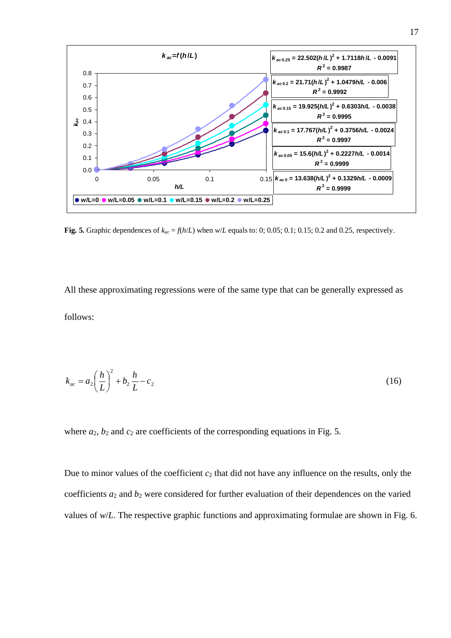

**Fig. 5.** Graphic dependences of  $k_{ac} = f(h/L)$  when  $w/L$  equals to: 0; 0.05; 0.1; 0.15; 0.2 and 0.25, respectively.

All these approximating regressions were of the same type that can be generally expressed as follows:

$$
k_{ac} = a_2 \left(\frac{h}{L}\right)^2 + b_2 \frac{h}{L} - c_2 \tag{16}
$$

where  $a_2$ ,  $b_2$  and  $c_2$  are coefficients of the corresponding equations in Fig. 5.

Due to minor values of the coefficient *c*<sup>2</sup> that did not have any influence on the results, only the coefficients  $a_2$  and  $b_2$  were considered for further evaluation of their dependences on the varied values of *w*/*L*. The respective graphic functions and approximating formulae are shown in Fig. 6.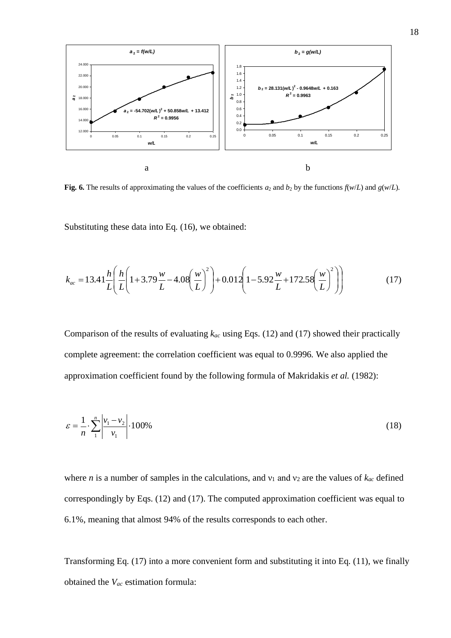

**Fig. 6.** The results of approximating the values of the coefficients  $a_2$  and  $b_2$  by the functions  $f(w/L)$  and  $g(w/L)$ .

Substituting these data into Eq. (16), we obtained:

$$
k_{ac} = 13.41 \frac{h}{L} \left( \frac{h}{L} \left( 1 + 3.79 \frac{w}{L} - 4.08 \left( \frac{w}{L} \right)^2 \right) + 0.012 \left( 1 - 5.92 \frac{w}{L} + 172.58 \left( \frac{w}{L} \right)^2 \right) \right) \tag{17}
$$

Comparison of the results of evaluating *kac* using Eqs. (12) and (17) showed their practically complete agreement: the correlation coefficient was equal to 0.9996. We also applied the approximation coefficient found by the following formula of Makridakis *et al.* (1982):

$$
\varepsilon = \frac{1}{n} \cdot \sum_{1}^{n} \left| \frac{v_1 - v_2}{v_1} \right| \cdot 100\% \tag{18}
$$

where *n* is a number of samples in the calculations, and  $v_1$  and  $v_2$  are the values of  $k_{ac}$  defined correspondingly by Eqs. (12) and (17). The computed approximation coefficient was equal to 6.1%, meaning that almost 94% of the results corresponds to each other.

Transforming Eq. (17) into a more convenient form and substituting it into Eq. (11), we finally obtained the *Vac* estimation formula: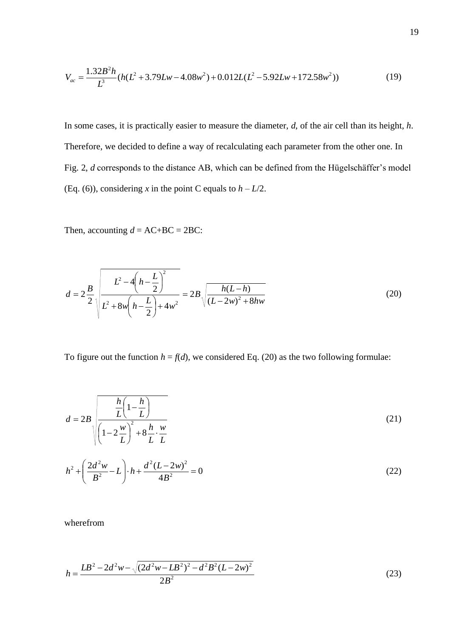$$
V_{ac} = \frac{1.32B^2h}{L^3} (h(L^2 + 3.79Lw - 4.08w^2) + 0.012L(L^2 - 5.92Lw + 172.58w^2))
$$
 (19)

In some cases, it is practically easier to measure the diameter, *d*, of the air cell than its height, *h*. Therefore, we decided to define a way of recalculating each parameter from the other one. In Fig. 2, *d* corresponds to the distance AB, which can be defined from the Hügelschäffer's model (Eq. (6)), considering *x* in the point C equals to  $h - L/2$ .

Then, accounting  $d = AC+BC = 2BC$ :

$$
d = 2\frac{B}{2}\sqrt{\frac{L^2 - 4\left(h - \frac{L}{2}\right)^2}{L^2 + 8w\left(h - \frac{L}{2}\right) + 4w^2}} = 2B\sqrt{\frac{h(L - h)}{(L - 2w)^2 + 8hw}}
$$
(20)

To figure out the function  $h = f(d)$ , we considered Eq. (20) as the two following formulae:

$$
d = 2B \sqrt{\frac{\frac{h}{L} \left(1 - \frac{h}{L}\right)}{\left(1 - 2\frac{w}{L}\right)^2 + 8\frac{h}{L} \cdot \frac{w}{L}}}
$$
(21)

$$
h^{2} + \left(\frac{2d^{2}w}{B^{2}} - L\right) \cdot h + \frac{d^{2}(L - 2w)^{2}}{4B^{2}} = 0
$$
\n(22)

wherefrom

$$
h = \frac{LB^2 - 2d^2w - \sqrt{(2d^2w - LB^2)^2 - d^2B^2(L - 2w)^2}}{2B^2}
$$
 (23)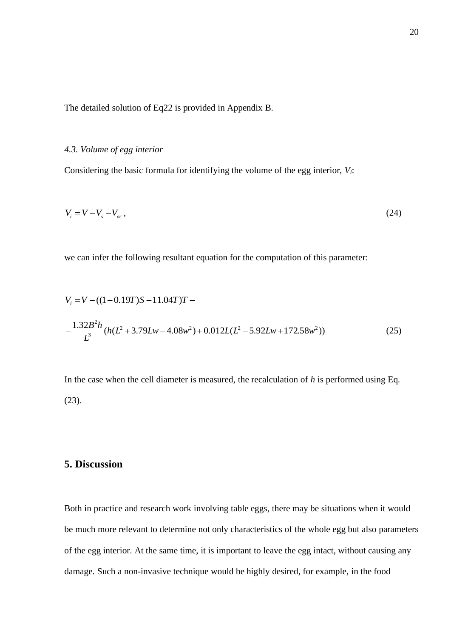The detailed solution of Eq22 is provided in Appendix B.

#### *4.3. Volume of egg interior*

Considering the basic formula for identifying the volume of the egg interior, *Vi*:

$$
V_i = V - V_s - V_{ac},\tag{24}
$$

we can infer the following resultant equation for the computation of this parameter:

$$
V_i = V - ((1 - 0.19T)S - 11.04T)T -
$$
  

$$
-\frac{1.32B^2h}{L^3}(h(L^2 + 3.79Lw - 4.08w^2) + 0.012L(L^2 - 5.92Lw + 172.58w^2))
$$
 (25)

In the case when the cell diameter is measured, the recalculation of *h* is performed using Eq. (23).

#### **5. Discussion**

Both in practice and research work involving table eggs, there may be situations when it would be much more relevant to determine not only characteristics of the whole egg but also parameters of the egg interior. At the same time, it is important to leave the egg intact, without causing any damage. Such a non-invasive technique would be highly desired, for example, in the food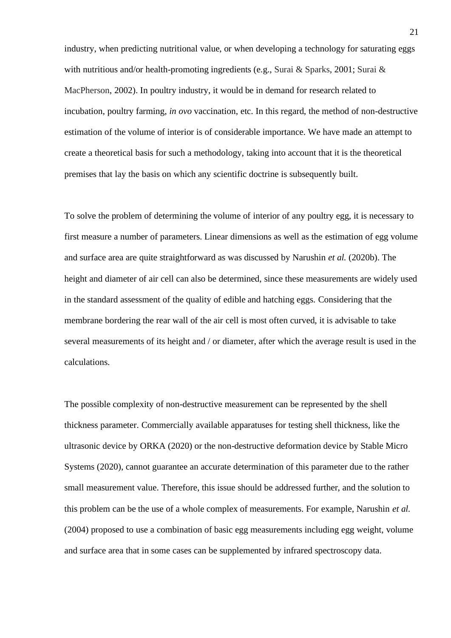industry, when predicting nutritional value, or when developing a technology for saturating eggs with nutritious and/or health-promoting ingredients (e.g., Surai & Sparks, 2001; Surai & MacPherson, 2002). In poultry industry, it would be in demand for research related to incubation, poultry farming, *in ovo* vaccination, etc. In this regard, the method of non-destructive estimation of the volume of interior is of considerable importance. We have made an attempt to create a theoretical basis for such a methodology, taking into account that it is the theoretical premises that lay the basis on which any scientific doctrine is subsequently built.

To solve the problem of determining the volume of interior of any poultry egg, it is necessary to first measure a number of parameters. Linear dimensions as well as the estimation of egg volume and surface area are quite straightforward as was discussed by Narushin *et al.* (2020b). The height and diameter of air cell can also be determined, since these measurements are widely used in the standard assessment of the quality of edible and hatching eggs. Considering that the membrane bordering the rear wall of the air cell is most often curved, it is advisable to take several measurements of its height and / or diameter, after which the average result is used in the calculations.

The possible complexity of non-destructive measurement can be represented by the shell thickness parameter. Commercially available apparatuses for testing shell thickness, like the ultrasonic device by ORKA (2020) or the non-destructive deformation device by Stable Micro Systems (2020), cannot guarantee an accurate determination of this parameter due to the rather small measurement value. Therefore, this issue should be addressed further, and the solution to this problem can be the use of a whole complex of measurements. For example, Narushin *et al.*  (2004) proposed to use a combination of basic egg measurements including egg weight, volume and surface area that in some cases can be supplemented by infrared spectroscopy data.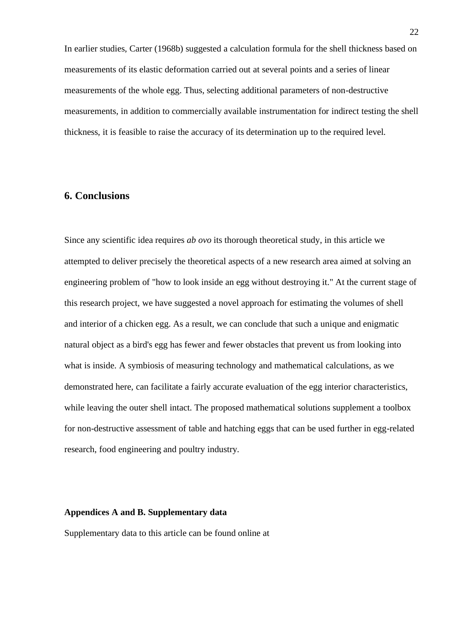In earlier studies, Carter (1968b) suggested a calculation formula for the shell thickness based on measurements of its elastic deformation carried out at several points and a series of linear measurements of the whole egg. Thus, selecting additional parameters of non-destructive measurements, in addition to commercially available instrumentation for indirect testing the shell thickness, it is feasible to raise the accuracy of its determination up to the required level.

#### **6. Conclusions**

Since any scientific idea requires *ab ovo* its thorough theoretical study, in this article we attempted to deliver precisely the theoretical aspects of a new research area aimed at solving an engineering problem of "how to look inside an egg without destroying it." At the current stage of this research project, we have suggested a novel approach for estimating the volumes of shell and interior of a chicken egg. As a result, we can conclude that such a unique and enigmatic natural object as a bird's egg has fewer and fewer obstacles that prevent us from looking into what is inside. A symbiosis of measuring technology and mathematical calculations, as we demonstrated here, can facilitate a fairly accurate evaluation of the egg interior characteristics, while leaving the outer shell intact. The proposed mathematical solutions supplement a toolbox for non-destructive assessment of table and hatching eggs that can be used further in egg-related research, food engineering and poultry industry.

#### **Appendices A and B. Supplementary data**

Supplementary data to this article can be found online at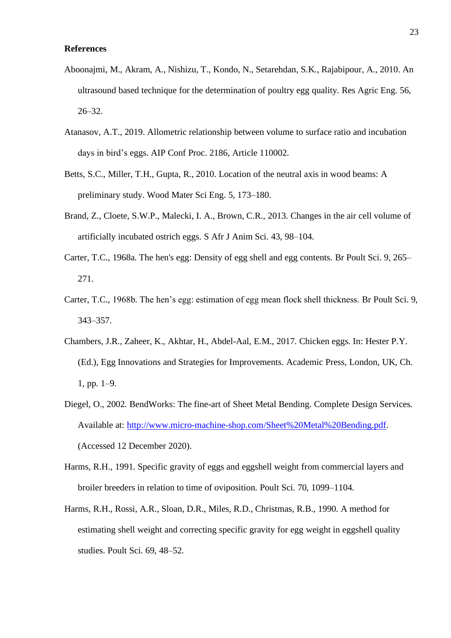#### **References**

- Aboonajmi, M., Akram, A., Nishizu, T., Kondo, N., Setarehdan, S.K., Rajabipour, A., 2010. An ultrasound based technique for the determination of poultry egg quality. Res Agric Eng. 56, 26–32.
- Atanasov, A.T., 2019. Allometric relationship between volume to surface ratio and incubation days in bird's eggs. AIP Conf Proc. 2186, Article 110002.
- Betts, S.C., Miller, T.H., Gupta, R., 2010. Location of the neutral axis in wood beams: A preliminary study. Wood Mater Sci Eng. 5, 173–180.
- Brand, Z., Cloete, S.W.P., Malecki, I. A., Brown, C.R., 2013. Changes in the air cell volume of artificially incubated ostrich eggs. S Afr J Anim Sci. 43, 98–104.
- Carter, T.C., 1968a. The hen's egg: Density of egg shell and egg contents. Br Poult Sci. 9, 265– 271.
- Carter, T.C., 1968b. The hen's egg: estimation of egg mean flock shell thickness. Br Poult Sci. 9, 343–357.
- Chambers, J.R., Zaheer, K., Akhtar, H., Abdel-Aal, E.M., 2017. Chicken eggs. In: Hester P.Y. (Ed.), Egg Innovations and Strategies for Improvements. Academic Press, London, UK, Ch. 1, pp. 1–9.
- Diegel, O., 2002. BendWorks: The fine-art of Sheet Metal Bending. Complete Design Services. Available at: [http://www.micro-machine-shop.com/Sheet%20Metal%20Bending.pdf.](http://www.micro-machine-shop.com/Sheet%20Metal%20Bending.pdf) (Accessed 12 December 2020).
- Harms, R.H., 1991. Specific gravity of eggs and eggshell weight from commercial layers and broiler breeders in relation to time of oviposition. Poult Sci. 70, 1099–1104.
- Harms, R.H., Rossi, A.R., Sloan, D.R., Miles, R.D., Christmas, R.B., 1990. A method for estimating shell weight and correcting specific gravity for egg weight in eggshell quality studies. Poult Sci. 69, 48–52.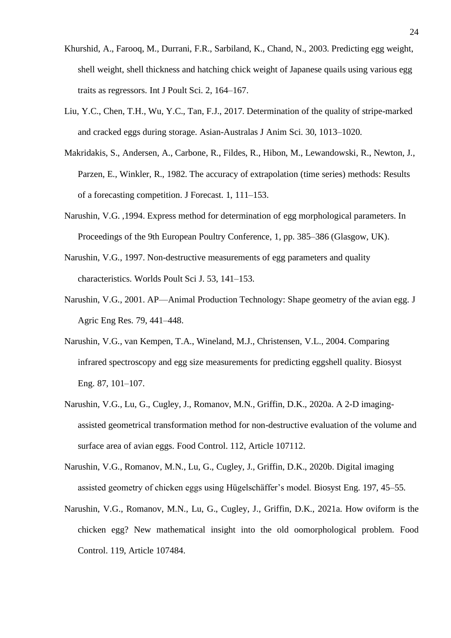- Khurshid, A., Farooq, M., Durrani, F.R., Sarbiland, K., Chand, N., 2003. Predicting egg weight, shell weight, shell thickness and hatching chick weight of Japanese quails using various egg traits as regressors. Int J Poult Sci. 2, 164–167.
- Liu, Y.C., Chen, T.H., Wu, Y.C., Tan, F.J., 2017. Determination of the quality of stripe-marked and cracked eggs during storage. Asian-Australas J Anim Sci. 30, 1013–1020.
- Makridakis, S., Andersen, A., Carbone, R., Fildes, R., Hibon, M., Lewandowski, R., Newton, J., Parzen, E., Winkler, R., 1982. The accuracy of extrapolation (time series) methods: Results of a forecasting competition. J Forecast. 1, 111–153.
- Narushin, V.G. ,1994. Express method for determination of egg morphological parameters. In Proceedings of the 9th European Poultry Conference, 1, pp. 385–386 (Glasgow, UK).
- Narushin, V.G., 1997. Non-destructive measurements of egg parameters and quality characteristics. Worlds Poult Sci J. 53, 141–153.
- Narushin, V.G., 2001. AP—Animal Production Technology: Shape geometry of the avian egg. J Agric Eng Res. 79, 441–448.
- Narushin, V.G., van Kempen, T.A., Wineland, M.J., Christensen, V.L., 2004. Comparing infrared spectroscopy and egg size measurements for predicting eggshell quality. Biosyst Eng. 87, 101–107.
- Narushin, V.G., Lu, G., Cugley, J., Romanov, M.N., Griffin, D.K., 2020a. A 2-D imagingassisted geometrical transformation method for non-destructive evaluation of the volume and surface area of avian eggs. Food Control. 112, Article 107112.
- Narushin, V.G., Romanov, M.N., Lu, G., Cugley, J., Griffin, D.K., 2020b. Digital imaging assisted geometry of chicken eggs using Hügelschäffer's model. Biosyst Eng. 197, 45–55.
- Narushin, V.G., Romanov, M.N., Lu, G., Cugley, J., Griffin, D.K., 2021a. How oviform is the chicken egg? New mathematical insight into the old oomorphological problem. Food Control. 119, Article 107484.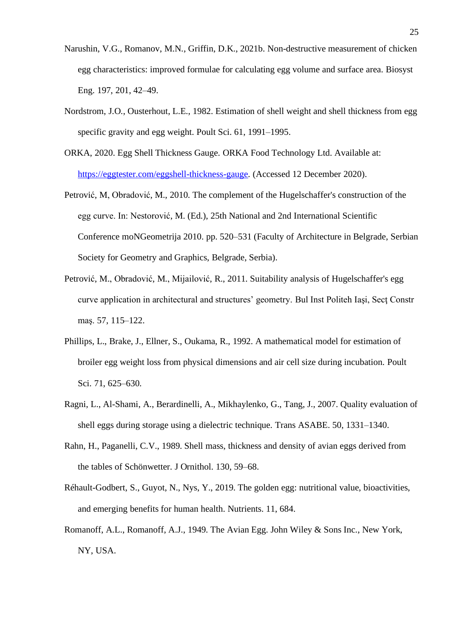- Narushin, V.G., Romanov, M.N., Griffin, D.K., 2021b. Non-destructive measurement of chicken egg characteristics: improved formulae for calculating egg volume and surface area. Biosyst Eng. 197, 201, 42–49.
- Nordstrom, J.O., Ousterhout, L.E., 1982. Estimation of shell weight and shell thickness from egg specific gravity and egg weight. Poult Sci. 61, 1991–1995.
- ORKA, 2020. Egg Shell Thickness Gauge. ORKA Food Technology Ltd. Available at: [https://eggtester.com/eggshell-thickness-gauge.](https://eggtester.com/eggshell-thickness-gauge) (Accessed 12 December 2020).
- Petrović, M, Obradović, M., 2010. The complement of the Hugelschaffer's construction of the egg curve. In: Nestorović, M. (Ed.), 25th National and 2nd International Scientific Conference moNGeometrija 2010. pp. 520–531 (Faculty of Architecture in Belgrade, Serbian Society for Geometry and Graphics, Belgrade, Serbia).
- Petrović, M., Obradović, M., Mijailović, R., 2011. Suitability analysis of Hugelschaffer's egg curve application in architectural and structures' geometry. Bul Inst Politeh Iaşi, Secţ Constr maş. 57, 115–122.
- Phillips, L., Brake, J., Ellner, S., Oukama, R., 1992. A mathematical model for estimation of broiler egg weight loss from physical dimensions and air cell size during incubation. Poult Sci. 71, 625–630.
- Ragni, L., Al-Shami, A., Berardinelli, A., Mikhaylenko, G., Tang, J., 2007. Quality evaluation of shell eggs during storage using a dielectric technique. Trans ASABE. 50, 1331–1340.
- Rahn, H., Paganelli, C.V., 1989. Shell mass, thickness and density of avian eggs derived from the tables of Schönwetter. J Ornithol. 130, 59–68.
- Réhault-Godbert, S., Guyot, N., Nys, Y., 2019. The golden egg: nutritional value, bioactivities, and emerging benefits for human health. Nutrients. 11, 684.
- Romanoff, A.L., Romanoff, A.J., 1949. The Avian Egg. John Wiley & Sons Inc., New York, NY, USA.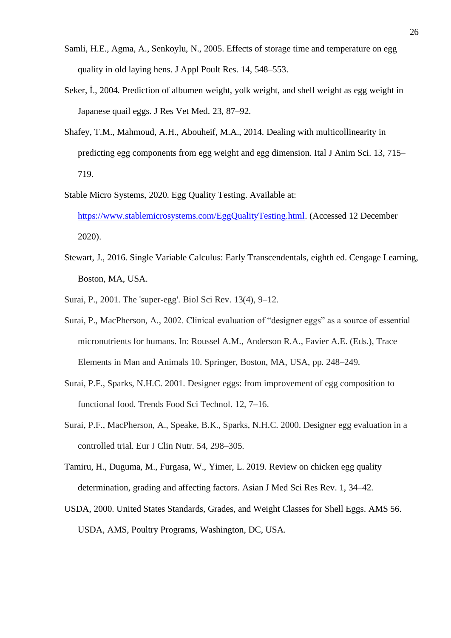- Samli, H.E., Agma, A., Senkoylu, N., 2005. Effects of storage time and temperature on egg quality in old laying hens. J Appl Poult Res. 14, 548–553.
- Seker, İ., 2004. Prediction of albumen weight, yolk weight, and shell weight as egg weight in Japanese quail eggs. J Res Vet Med. 23, 87–92.
- Shafey, T.M., Mahmoud, A.H., Abouheif, M.A., 2014. Dealing with multicollinearity in predicting egg components from egg weight and egg dimension. Ital J Anim Sci. 13, 715– 719.
- Stable Micro Systems, 2020. Egg Quality Testing. Available at: [https://www.stablemicrosystems.com/EggQualityTesting.html.](https://www.stablemicrosystems.com/EggQualityTesting.html) (Accessed 12 December 2020).
- Stewart, J., 2016. Single Variable Calculus: Early Transcendentals, eighth ed. Cengage Learning, Boston, MA, USA.
- Surai, P., 2001. The 'super-egg'. Biol Sci Rev. 13(4), 9–12.
- Surai, P., MacPherson, A., 2002. Clinical evaluation of "designer eggs" as a source of essential micronutrients for humans. In: Roussel A.M., Anderson R.A., Favier A.E. (Eds.), Trace Elements in Man and Animals 10. Springer, Boston, MA, USA, pp. 248–249.
- Surai, P.F., Sparks, N.H.C. 2001. Designer eggs: from improvement of egg composition to functional food. Trends Food Sci Technol. 12, 7–16.
- Surai, P.F., MacPherson, A., Speake, B.K., Sparks, N.H.C. 2000. Designer egg evaluation in a controlled trial. Eur J Clin Nutr. 54, 298–305.
- Tamiru, H., Duguma, M., Furgasa, W., Yimer, L. 2019. Review on chicken egg quality determination, grading and affecting factors. Asian J Med Sci Res Rev. 1, 34–42.
- USDA, 2000. United States Standards, Grades, and Weight Classes for Shell Eggs. AMS 56. USDA, AMS, Poultry Programs, Washington, DC, USA.